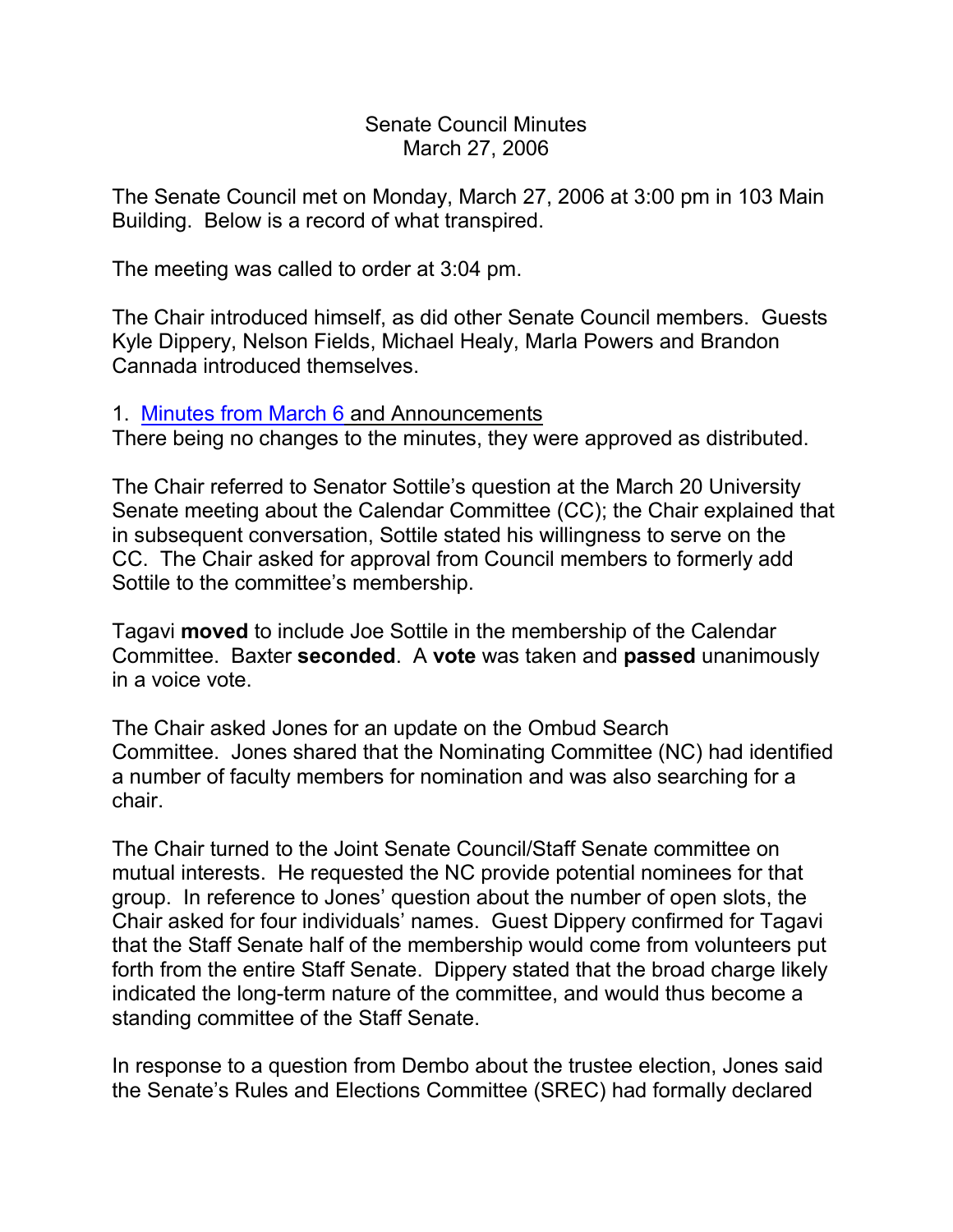Senate Council Minutes March 27, 2006

The Senate Council met on Monday, March 27, 2006 at 3:00 pm in 103 Main Building. Below is a record of what transpired.

The meeting was called to order at 3:04 pm.

The Chair introduced himself, as did other Senate Council members. Guests Kyle Dippery, Nelson Fields, Michael Healy, Marla Powers and Brandon Cannada introduced themselves.

## 1. [Minutes from March 6](http://www.uky.edu/USC/New/SCMinutes/SC%20Minutes%20March%206%202006%20FINAL.htm) and Announcements

There being no changes to the minutes, they were approved as distributed.

The Chair referred to Senator Sottile's question at the March 20 University Senate meeting about the Calendar Committee (CC); the Chair explained that in subsequent conversation, Sottile stated his willingness to serve on the CC. The Chair asked for approval from Council members to formerly add Sottile to the committee's membership.

Tagavi **moved** to include Joe Sottile in the membership of the Calendar Committee. Baxter **seconded**. A **vote** was taken and **passed** unanimously in a voice vote.

The Chair asked Jones for an update on the Ombud Search Committee. Jones shared that the Nominating Committee (NC) had identified a number of faculty members for nomination and was also searching for a chair.

The Chair turned to the Joint Senate Council/Staff Senate committee on mutual interests. He requested the NC provide potential nominees for that group. In reference to Jones' question about the number of open slots, the Chair asked for four individuals' names. Guest Dippery confirmed for Tagavi that the Staff Senate half of the membership would come from volunteers put forth from the entire Staff Senate. Dippery stated that the broad charge likely indicated the long-term nature of the committee, and would thus become a standing committee of the Staff Senate.

In response to a question from Dembo about the trustee election, Jones said the Senate's Rules and Elections Committee (SREC) had formally declared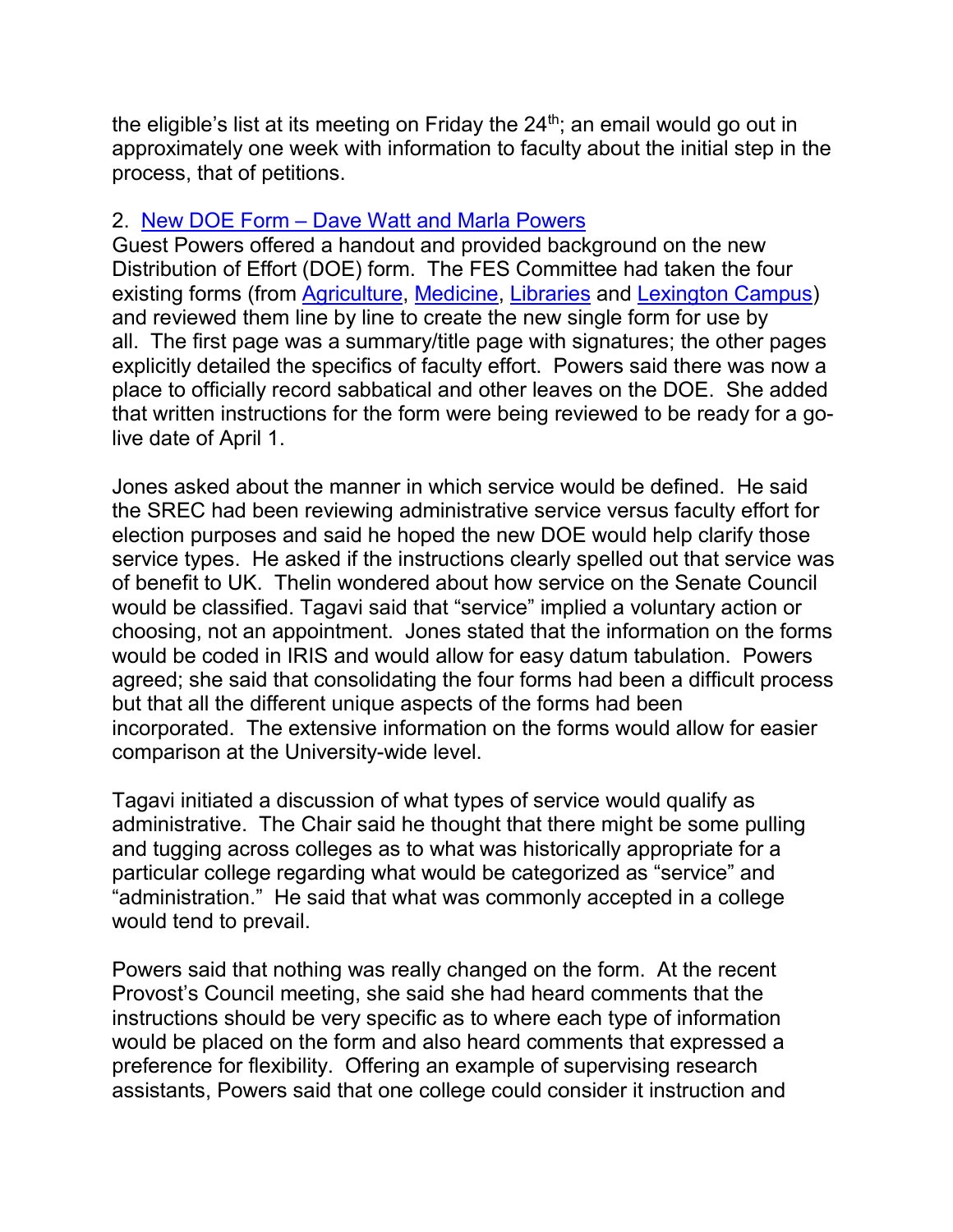the eligible's list at its meeting on Friday the  $24<sup>th</sup>$ ; an email would go out in approximately one week with information to faculty about the initial step in the process, that of petitions.

## 2. New DOE Form – [Dave Watt and Marla Powers](http://www.uky.edu/USC/New/SCAgendas/20060327/DOE%20form%20for%20web%20detail.pdf)

Guest Powers offered a handout and provided background on the new Distribution of Effort (DOE) form. The FES Committee had taken the four existing forms (from [Agriculture,](http://www.uky.edu/USC/New/SCAgendas/20060327/DOE%20-%20Agriculture.pdf) [Medicine,](http://www.uky.edu/USC/New/SCAgendas/20060327/DOE%20-%20Medicine.pdf) [Libraries](http://www.uky.edu/USC/New/SCAgendas/20060327/DOE%20-%20Libraries.pdf) and [Lexington Campus\)](http://www.uky.edu/USC/New/SCAgendas/20060327/DOE%20-%20Lexington%20Campus.pdf) and reviewed them line by line to create the new single form for use by all. The first page was a summary/title page with signatures; the other pages explicitly detailed the specifics of faculty effort. Powers said there was now a place to officially record sabbatical and other leaves on the DOE. She added that written instructions for the form were being reviewed to be ready for a golive date of April 1.

Jones asked about the manner in which service would be defined. He said the SREC had been reviewing administrative service versus faculty effort for election purposes and said he hoped the new DOE would help clarify those service types. He asked if the instructions clearly spelled out that service was of benefit to UK. Thelin wondered about how service on the Senate Council would be classified. Tagavi said that "service" implied a voluntary action or choosing, not an appointment. Jones stated that the information on the forms would be coded in IRIS and would allow for easy datum tabulation. Powers agreed; she said that consolidating the four forms had been a difficult process but that all the different unique aspects of the forms had been incorporated. The extensive information on the forms would allow for easier comparison at the University-wide level.

Tagavi initiated a discussion of what types of service would qualify as administrative. The Chair said he thought that there might be some pulling and tugging across colleges as to what was historically appropriate for a particular college regarding what would be categorized as "service" and "administration." He said that what was commonly accepted in a college would tend to prevail.

Powers said that nothing was really changed on the form. At the recent Provost's Council meeting, she said she had heard comments that the instructions should be very specific as to where each type of information would be placed on the form and also heard comments that expressed a preference for flexibility. Offering an example of supervising research assistants, Powers said that one college could consider it instruction and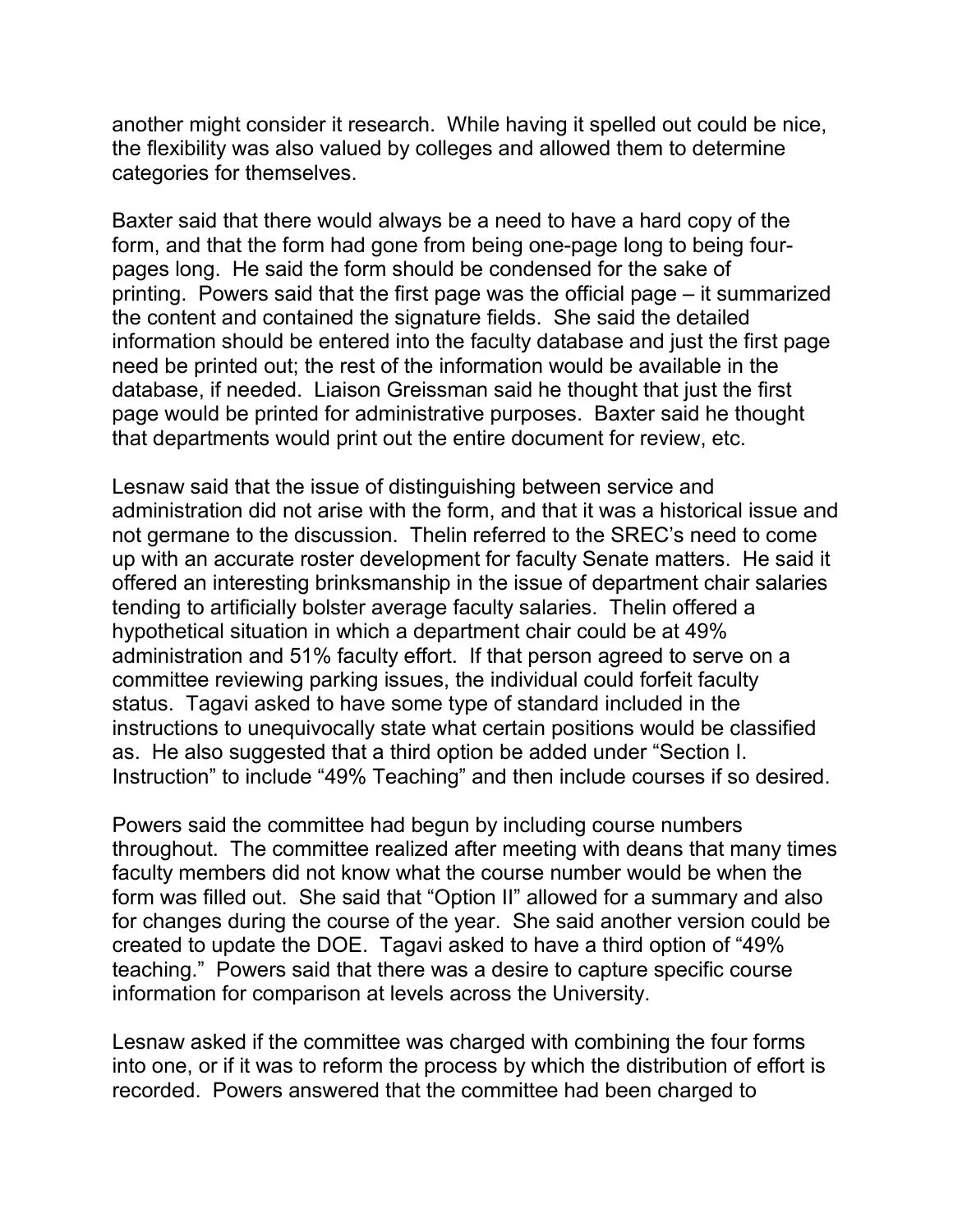another might consider it research. While having it spelled out could be nice, the flexibility was also valued by colleges and allowed them to determine categories for themselves.

Baxter said that there would always be a need to have a hard copy of the form, and that the form had gone from being one-page long to being fourpages long. He said the form should be condensed for the sake of printing. Powers said that the first page was the official page – it summarized the content and contained the signature fields. She said the detailed information should be entered into the faculty database and just the first page need be printed out; the rest of the information would be available in the database, if needed. Liaison Greissman said he thought that just the first page would be printed for administrative purposes. Baxter said he thought that departments would print out the entire document for review, etc.

Lesnaw said that the issue of distinguishing between service and administration did not arise with the form, and that it was a historical issue and not germane to the discussion. Thelin referred to the SREC's need to come up with an accurate roster development for faculty Senate matters. He said it offered an interesting brinksmanship in the issue of department chair salaries tending to artificially bolster average faculty salaries. Thelin offered a hypothetical situation in which a department chair could be at 49% administration and 51% faculty effort. If that person agreed to serve on a committee reviewing parking issues, the individual could forfeit faculty status. Tagavi asked to have some type of standard included in the instructions to unequivocally state what certain positions would be classified as. He also suggested that a third option be added under "Section I. Instruction" to include "49% Teaching" and then include courses if so desired.

Powers said the committee had begun by including course numbers throughout. The committee realized after meeting with deans that many times faculty members did not know what the course number would be when the form was filled out. She said that "Option II" allowed for a summary and also for changes during the course of the year. She said another version could be created to update the DOE. Tagavi asked to have a third option of "49% teaching." Powers said that there was a desire to capture specific course information for comparison at levels across the University.

Lesnaw asked if the committee was charged with combining the four forms into one, or if it was to reform the process by which the distribution of effort is recorded. Powers answered that the committee had been charged to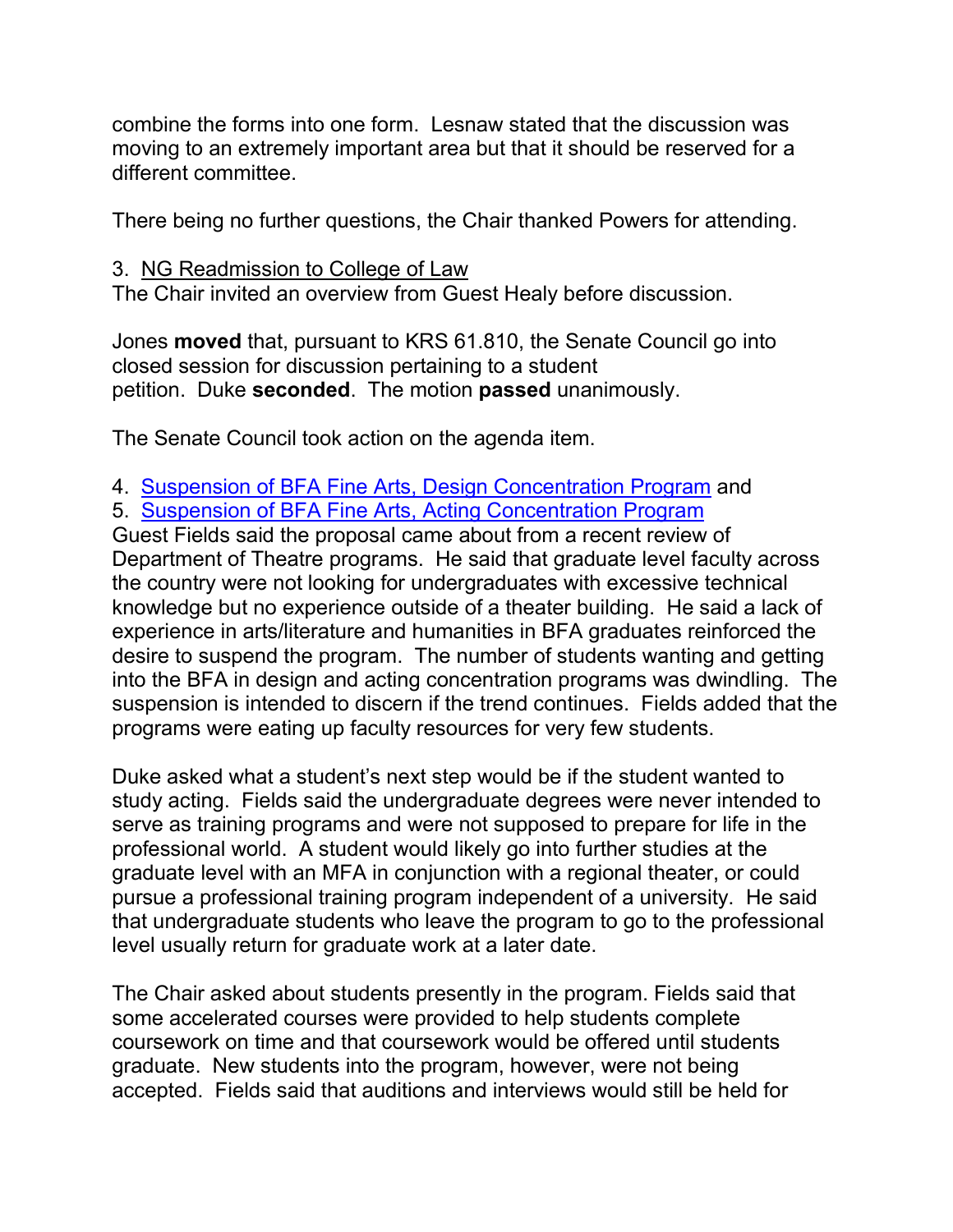combine the forms into one form. Lesnaw stated that the discussion was moving to an extremely important area but that it should be reserved for a different committee.

There being no further questions, the Chair thanked Powers for attending.

## 3. NG Readmission to College of Law

The Chair invited an overview from Guest Healy before discussion.

Jones **moved** that, pursuant to KRS 61.810, the Senate Council go into closed session for discussion pertaining to a student petition. Duke **seconded**. The motion **passed** unanimously.

The Senate Council took action on the agenda item.

- 4. [Suspension of BFA Fine Arts, Design Concentration Program](http://www.uky.edu/USC/New/SCAgendas/20060327/BFA%20Design%20Conc%20Program%20Suspension_SC.pdf) and
- 5. [Suspension of BFA Fine Arts, Acting Concentration Program](http://www.uky.edu/USC/New/SCAgendas/20060327/BFA%20Acting%20Conc%20Program%20Suspension_SC.pdf)

Guest Fields said the proposal came about from a recent review of Department of Theatre programs. He said that graduate level faculty across the country were not looking for undergraduates with excessive technical knowledge but no experience outside of a theater building. He said a lack of experience in arts/literature and humanities in BFA graduates reinforced the desire to suspend the program. The number of students wanting and getting into the BFA in design and acting concentration programs was dwindling. The suspension is intended to discern if the trend continues. Fields added that the programs were eating up faculty resources for very few students.

Duke asked what a student's next step would be if the student wanted to study acting. Fields said the undergraduate degrees were never intended to serve as training programs and were not supposed to prepare for life in the professional world. A student would likely go into further studies at the graduate level with an MFA in conjunction with a regional theater, or could pursue a professional training program independent of a university. He said that undergraduate students who leave the program to go to the professional level usually return for graduate work at a later date.

The Chair asked about students presently in the program. Fields said that some accelerated courses were provided to help students complete coursework on time and that coursework would be offered until students graduate. New students into the program, however, were not being accepted. Fields said that auditions and interviews would still be held for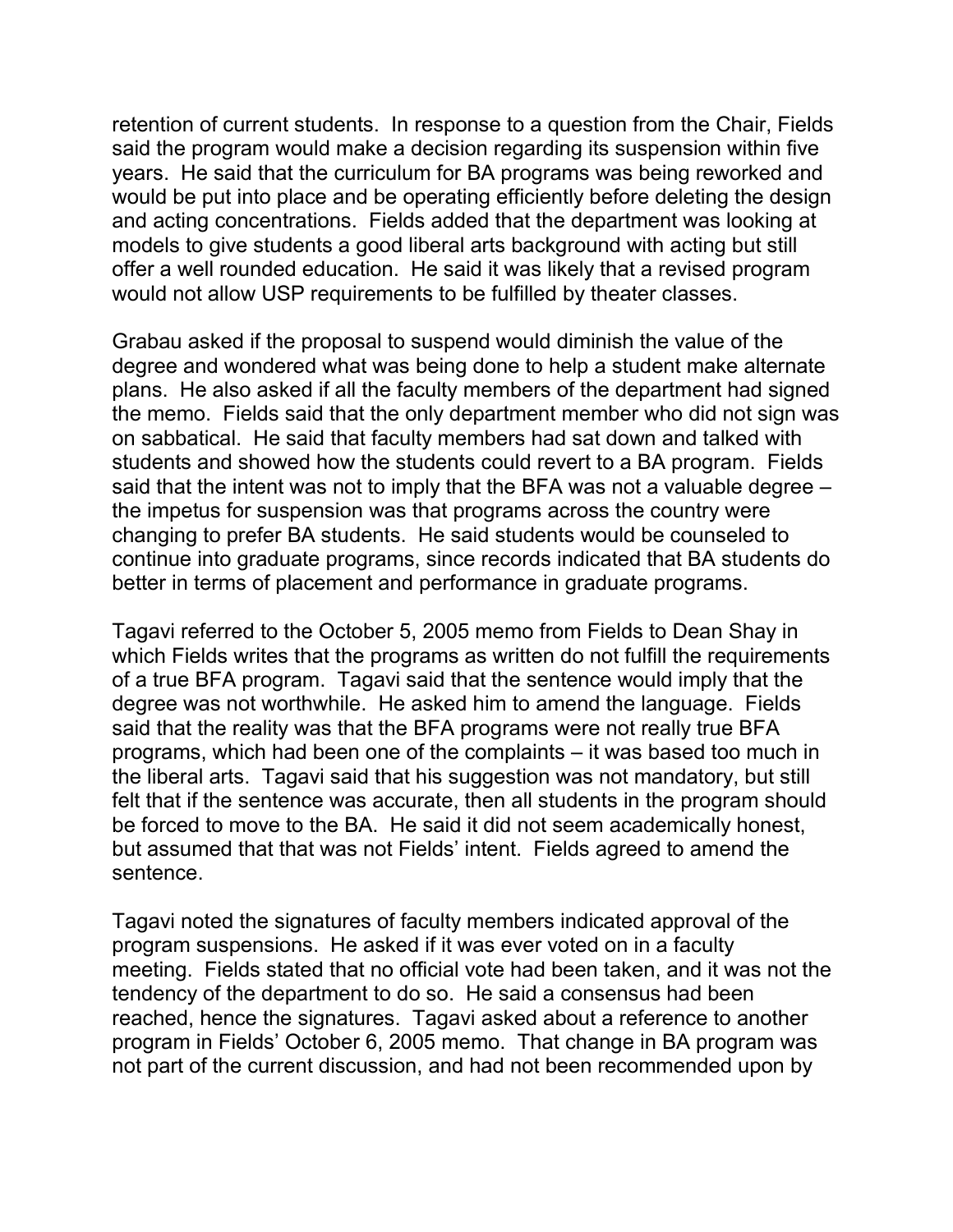retention of current students. In response to a question from the Chair, Fields said the program would make a decision regarding its suspension within five years. He said that the curriculum for BA programs was being reworked and would be put into place and be operating efficiently before deleting the design and acting concentrations. Fields added that the department was looking at models to give students a good liberal arts background with acting but still offer a well rounded education. He said it was likely that a revised program would not allow USP requirements to be fulfilled by theater classes.

Grabau asked if the proposal to suspend would diminish the value of the degree and wondered what was being done to help a student make alternate plans. He also asked if all the faculty members of the department had signed the memo. Fields said that the only department member who did not sign was on sabbatical. He said that faculty members had sat down and talked with students and showed how the students could revert to a BA program. Fields said that the intent was not to imply that the BFA was not a valuable degree – the impetus for suspension was that programs across the country were changing to prefer BA students. He said students would be counseled to continue into graduate programs, since records indicated that BA students do better in terms of placement and performance in graduate programs.

Tagavi referred to the October 5, 2005 memo from Fields to Dean Shay in which Fields writes that the programs as written do not fulfill the requirements of a true BFA program. Tagavi said that the sentence would imply that the degree was not worthwhile. He asked him to amend the language. Fields said that the reality was that the BFA programs were not really true BFA programs, which had been one of the complaints – it was based too much in the liberal arts. Tagavi said that his suggestion was not mandatory, but still felt that if the sentence was accurate, then all students in the program should be forced to move to the BA. He said it did not seem academically honest, but assumed that that was not Fields' intent. Fields agreed to amend the sentence.

Tagavi noted the signatures of faculty members indicated approval of the program suspensions. He asked if it was ever voted on in a faculty meeting. Fields stated that no official vote had been taken, and it was not the tendency of the department to do so. He said a consensus had been reached, hence the signatures. Tagavi asked about a reference to another program in Fields' October 6, 2005 memo. That change in BA program was not part of the current discussion, and had not been recommended upon by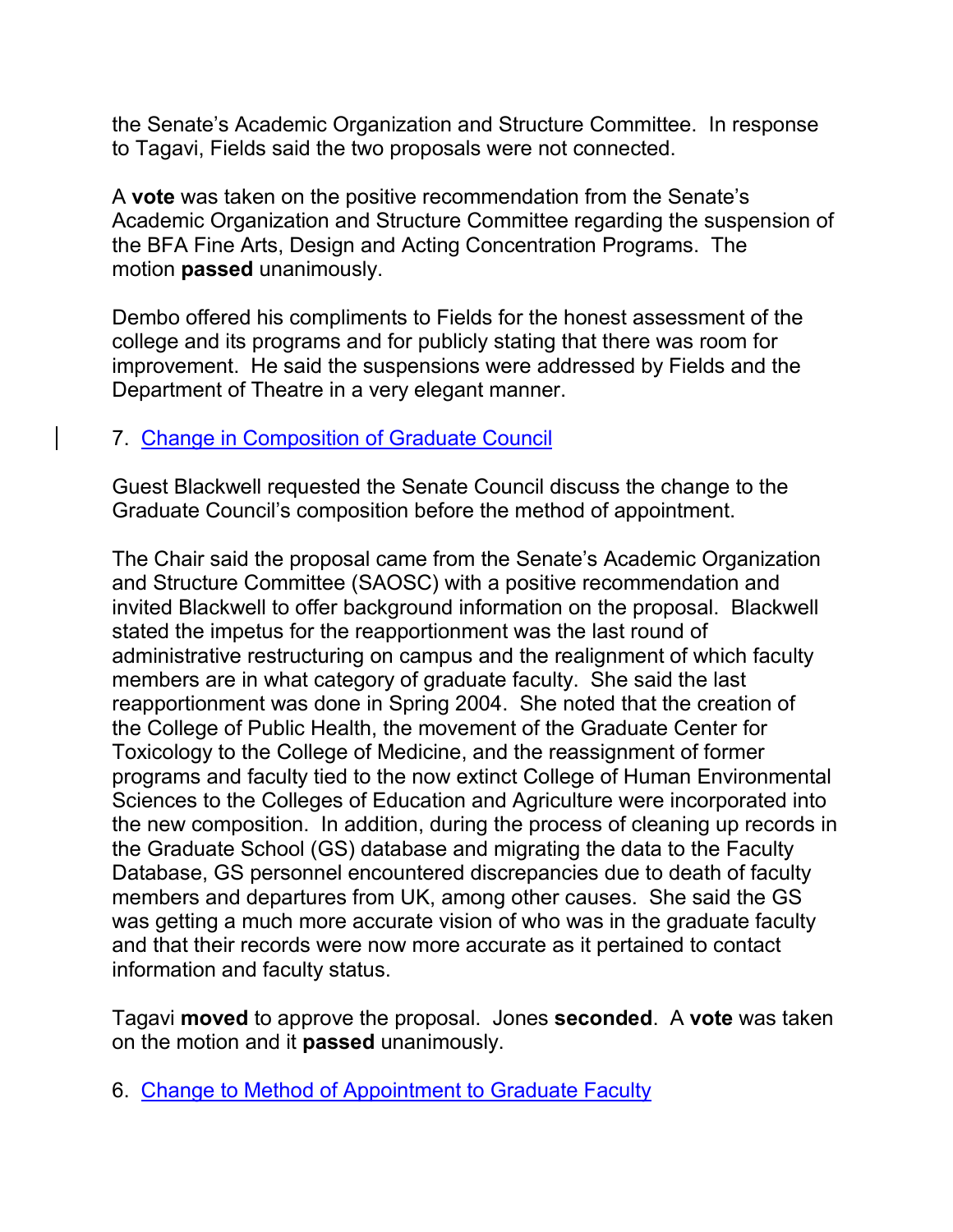the Senate's Academic Organization and Structure Committee. In response to Tagavi, Fields said the two proposals were not connected.

A **vote** was taken on the positive recommendation from the Senate's Academic Organization and Structure Committee regarding the suspension of the BFA Fine Arts, Design and Acting Concentration Programs. The motion **passed** unanimously.

Dembo offered his compliments to Fields for the honest assessment of the college and its programs and for publicly stating that there was room for improvement. He said the suspensions were addressed by Fields and the Department of Theatre in a very elegant manner.

## 7. [Change in Composition of](http://www.uky.edu/USC/New/SCAgendas/20060327/Change%20GC%20Composition_Complete_SC.pdf) Graduate Council

Guest Blackwell requested the Senate Council discuss the change to the Graduate Council's composition before the method of appointment.

The Chair said the proposal came from the Senate's Academic Organization and Structure Committee (SAOSC) with a positive recommendation and invited Blackwell to offer background information on the proposal. Blackwell stated the impetus for the reapportionment was the last round of administrative restructuring on campus and the realignment of which faculty members are in what category of graduate faculty. She said the last reapportionment was done in Spring 2004. She noted that the creation of the College of Public Health, the movement of the Graduate Center for Toxicology to the College of Medicine, and the reassignment of former programs and faculty tied to the now extinct College of Human Environmental Sciences to the Colleges of Education and Agriculture were incorporated into the new composition. In addition, during the process of cleaning up records in the Graduate School (GS) database and migrating the data to the Faculty Database, GS personnel encountered discrepancies due to death of faculty members and departures from UK, among other causes. She said the GS was getting a much more accurate vision of who was in the graduate faculty and that their records were now more accurate as it pertained to contact information and faculty status.

Tagavi **moved** to approve the proposal. Jones **seconded**. A **vote** was taken on the motion and it **passed** unanimously.

6. [Change to Method of Appointment to Graduate Faculty](http://www.uky.edu/USC/New/SCAgendas/20060327/Change%20GC%20Method%20of%20Appointment_SC.pdf)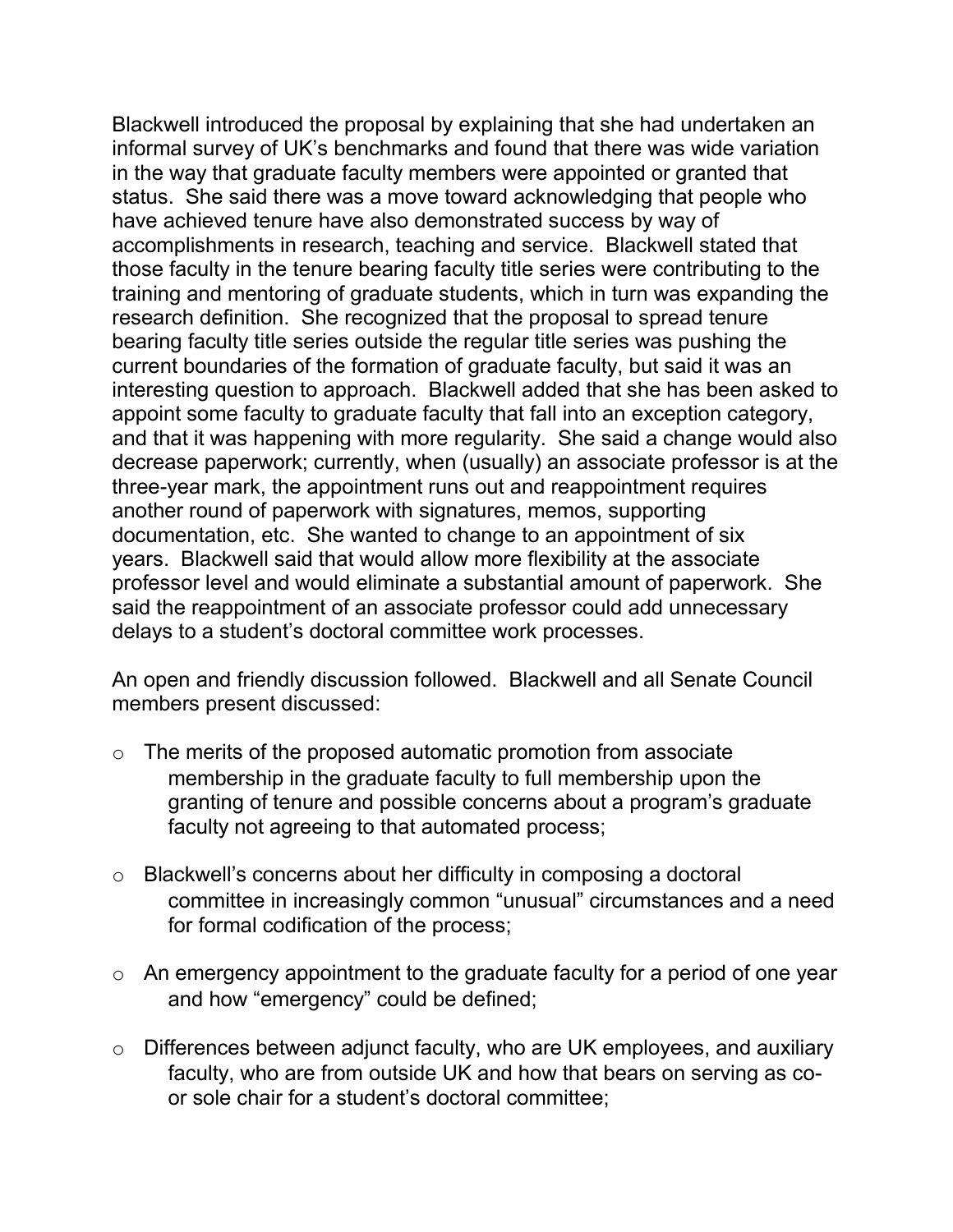Blackwell introduced the proposal by explaining that she had undertaken an informal survey of UK's benchmarks and found that there was wide variation in the way that graduate faculty members were appointed or granted that status. She said there was a move toward acknowledging that people who have achieved tenure have also demonstrated success by way of accomplishments in research, teaching and service. Blackwell stated that those faculty in the tenure bearing faculty title series were contributing to the training and mentoring of graduate students, which in turn was expanding the research definition. She recognized that the proposal to spread tenure bearing faculty title series outside the regular title series was pushing the current boundaries of the formation of graduate faculty, but said it was an interesting question to approach. Blackwell added that she has been asked to appoint some faculty to graduate faculty that fall into an exception category, and that it was happening with more regularity. She said a change would also decrease paperwork; currently, when (usually) an associate professor is at the three-year mark, the appointment runs out and reappointment requires another round of paperwork with signatures, memos, supporting documentation, etc. She wanted to change to an appointment of six years. Blackwell said that would allow more flexibility at the associate professor level and would eliminate a substantial amount of paperwork. She said the reappointment of an associate professor could add unnecessary delays to a student's doctoral committee work processes.

An open and friendly discussion followed. Blackwell and all Senate Council members present discussed:

- o The merits of the proposed automatic promotion from associate membership in the graduate faculty to full membership upon the granting of tenure and possible concerns about a program's graduate faculty not agreeing to that automated process;
- o Blackwell's concerns about her difficulty in composing a doctoral committee in increasingly common "unusual" circumstances and a need for formal codification of the process;
- o An emergency appointment to the graduate faculty for a period of one year and how "emergency" could be defined;
- o Differences between adjunct faculty, who are UK employees, and auxiliary faculty, who are from outside UK and how that bears on serving as coor sole chair for a student's doctoral committee;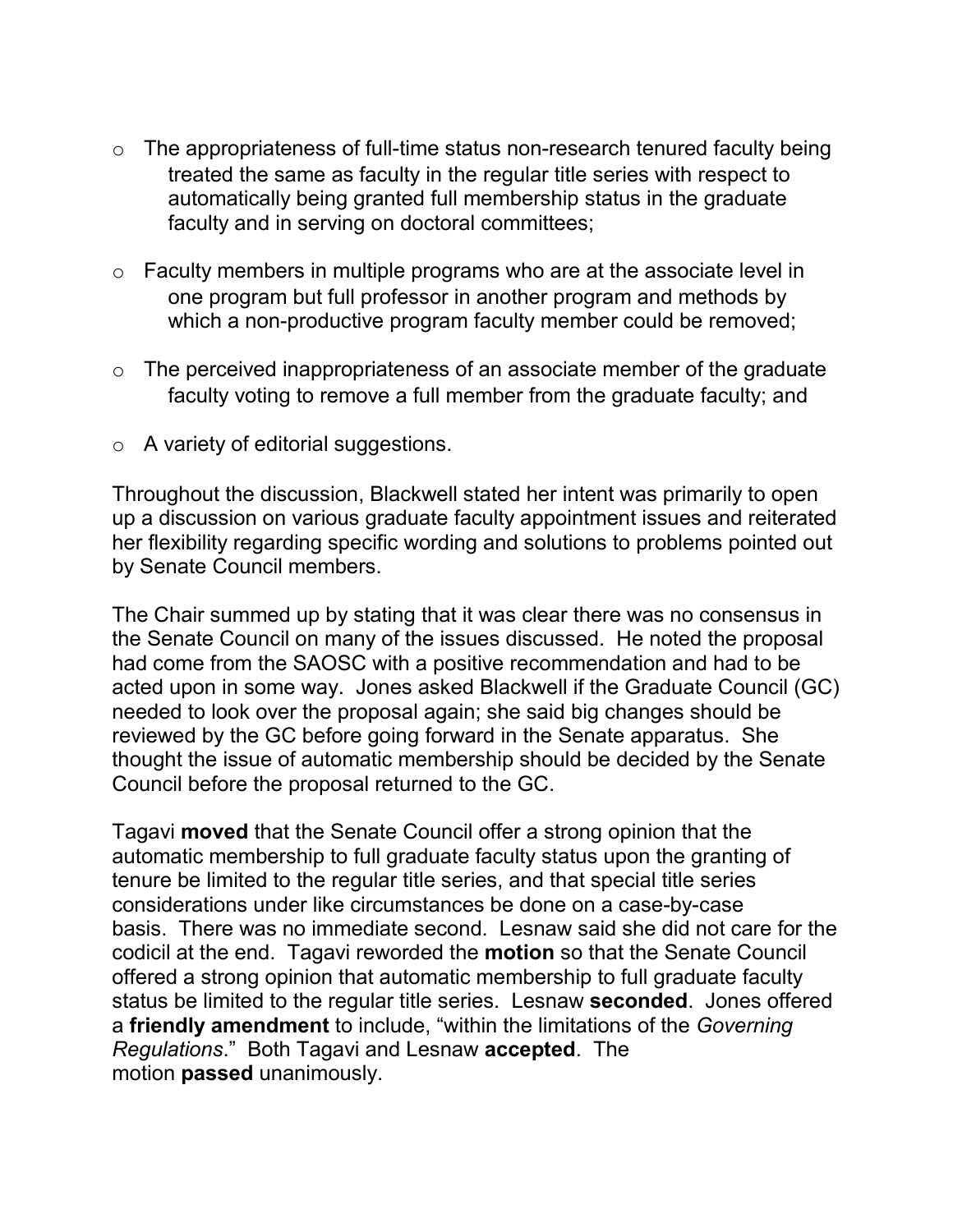- $\circ$  The appropriateness of full-time status non-research tenured faculty being treated the same as faculty in the regular title series with respect to automatically being granted full membership status in the graduate faculty and in serving on doctoral committees;
- $\circ$  Faculty members in multiple programs who are at the associate level in one program but full professor in another program and methods by which a non-productive program faculty member could be removed;
- $\circ$  The perceived inappropriateness of an associate member of the graduate faculty voting to remove a full member from the graduate faculty; and
- o A variety of editorial suggestions.

Throughout the discussion, Blackwell stated her intent was primarily to open up a discussion on various graduate faculty appointment issues and reiterated her flexibility regarding specific wording and solutions to problems pointed out by Senate Council members.

The Chair summed up by stating that it was clear there was no consensus in the Senate Council on many of the issues discussed. He noted the proposal had come from the SAOSC with a positive recommendation and had to be acted upon in some way. Jones asked Blackwell if the Graduate Council (GC) needed to look over the proposal again; she said big changes should be reviewed by the GC before going forward in the Senate apparatus. She thought the issue of automatic membership should be decided by the Senate Council before the proposal returned to the GC.

Tagavi **moved** that the Senate Council offer a strong opinion that the automatic membership to full graduate faculty status upon the granting of tenure be limited to the regular title series, and that special title series considerations under like circumstances be done on a case-by-case basis. There was no immediate second. Lesnaw said she did not care for the codicil at the end. Tagavi reworded the **motion** so that the Senate Council offered a strong opinion that automatic membership to full graduate faculty status be limited to the regular title series. Lesnaw **seconded**. Jones offered a **friendly amendment** to include, "within the limitations of the *Governing Regulations*." Both Tagavi and Lesnaw **accepted**. The motion **passed** unanimously.